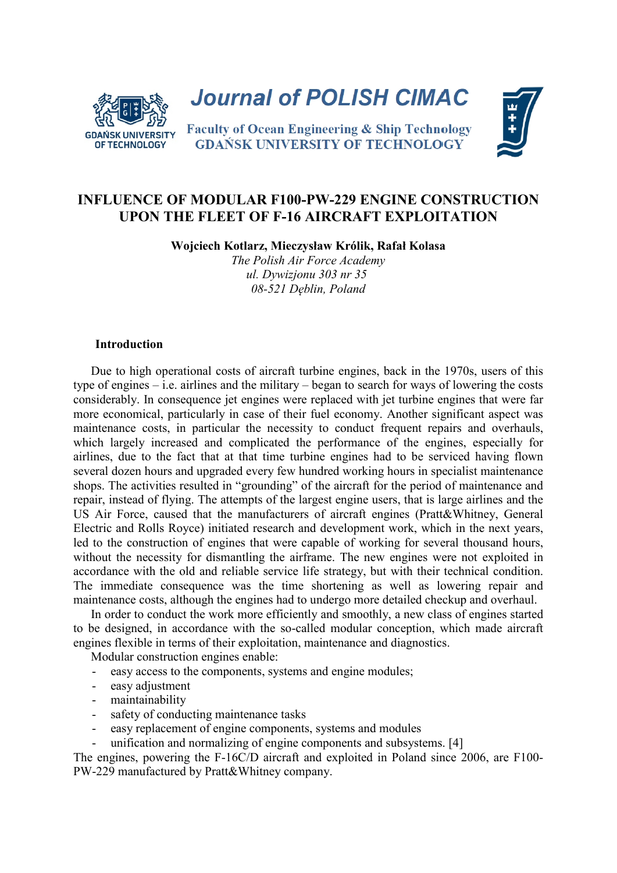

**Journal of POLISH CIMAC** 

**Faculty of Ocean Engineering & Ship Technology GDAŃSK UNIVERSITY OF TECHNOLOGY** 



# **INFLUENCE OF MODULAR F100-PW-229 ENGINE CONSTRUCTION UPON THE FLEET OF F-16 AIRCRAFT EXPLOITATION**

**Wojciech Kotlarz, Mieczysław Królik, Rafał Kolasa**

*The Polish Air Force Academy ul. Dywizjonu 303 nr 35 08-521 Dęblin, Poland*

#### **Introduction**

Due to high operational costs of aircraft turbine engines, back in the 1970s, users of this type of engines – i.e. airlines and the military – began to search for ways of lowering the costs considerably. In consequence jet engines were replaced with jet turbine engines that were far more economical, particularly in case of their fuel economy. Another significant aspect was maintenance costs, in particular the necessity to conduct frequent repairs and overhauls, which largely increased and complicated the performance of the engines, especially for airlines, due to the fact that at that time turbine engines had to be serviced having flown several dozen hours and upgraded every few hundred working hours in specialist maintenance shops. The activities resulted in "grounding" of the aircraft for the period of maintenance and repair, instead of flying. The attempts of the largest engine users, that is large airlines and the US Air Force, caused that the manufacturers of aircraft engines (Pratt&Whitney, General Electric and Rolls Royce) initiated research and development work, which in the next years, led to the construction of engines that were capable of working for several thousand hours, without the necessity for dismantling the airframe. The new engines were not exploited in accordance with the old and reliable service life strategy, but with their technical condition. The immediate consequence was the time shortening as well as lowering repair and maintenance costs, although the engines had to undergo more detailed checkup and overhaul.

In order to conduct the work more efficiently and smoothly, a new class of engines started to be designed, in accordance with the so-called modular conception, which made aircraft engines flexible in terms of their exploitation, maintenance and diagnostics.

Modular construction engines enable:

- easy access to the components, systems and engine modules;
- easy adjustment
- maintainability
- safety of conducting maintenance tasks
- easy replacement of engine components, systems and modules
- unification and normalizing of engine components and subsystems. [4]

The engines, powering the F-16C/D aircraft and exploited in Poland since 2006, are F100- PW-229 manufactured by Pratt&Whitney company.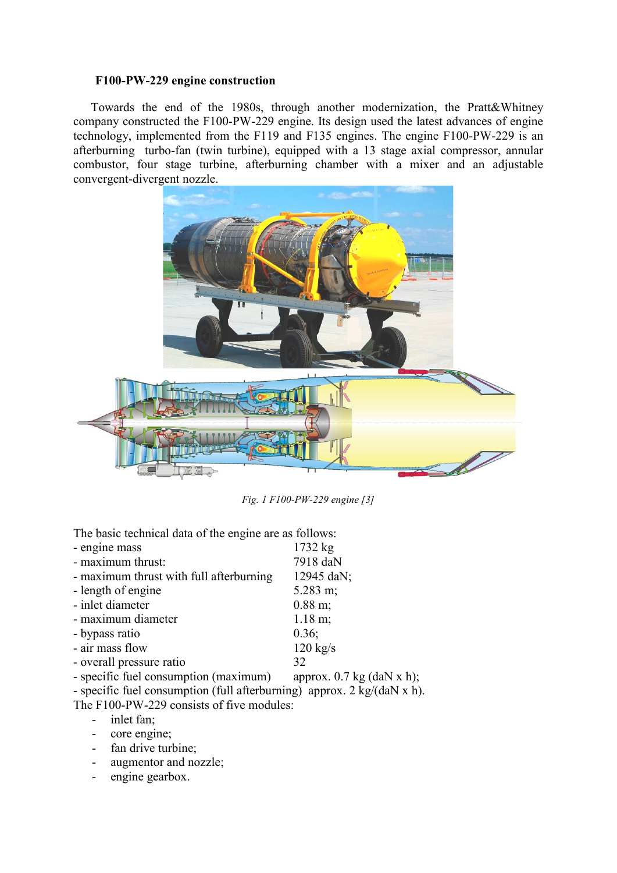### **F100-PW-229 engine construction**

Towards the end of the 1980s, through another modernization, the Pratt&Whitney company constructed the F100-PW-229 engine. Its design used the latest advances of engine technology, implemented from the F119 and F135 engines. The engine F100-PW-229 is an afterburning turbo-fan (twin turbine), equipped with a 13 stage axial compressor, annular combustor, four stage turbine, afterburning chamber with a mixer and an adjustable convergent-divergent nozzle.



*Fig. 1 F100-PW-229 engine [3]*

The basic technical data of the engine are as follows:

| - engine mass                                                           | 1732 kg                     |
|-------------------------------------------------------------------------|-----------------------------|
| - maximum thrust:                                                       | 7918 daN                    |
| - maximum thrust with full afterburning                                 | 12945 daN;                  |
| - length of engine                                                      | 5.283 m;                    |
| - inlet diameter                                                        | $0.88 \text{ m}$ ;          |
| - maximum diameter                                                      | $1.18 \text{ m}$ ;          |
| - bypass ratio                                                          | 0.36;                       |
| - air mass flow                                                         | $120 \text{ kg/s}$          |
| - overall pressure ratio                                                | 32                          |
| - specific fuel consumption (maximum)                                   | approx. $0.7$ kg (daN x h); |
| - specific fuel consumption (full afterburning) approx. 2 kg/(daN x h). |                             |
| The F100-PW-229 consists of five modules:                               |                             |
| $indat$ fon:                                                            |                             |

- inlet fan;
- core engine;
- fan drive turbine;
- augmentor and nozzle;
- engine gearbox.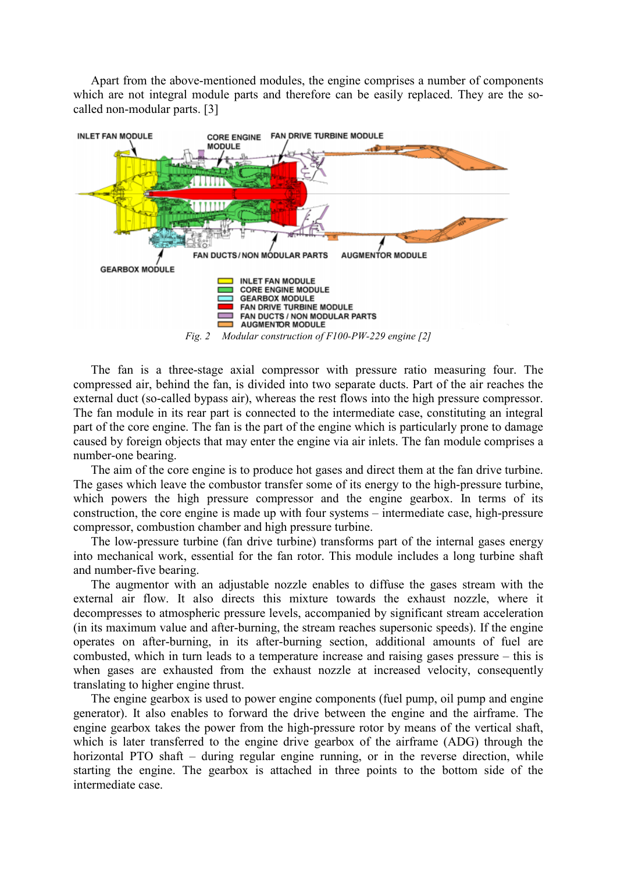Apart from the above-mentioned modules, the engine comprises a number of components which are not integral module parts and therefore can be easily replaced. They are the socalled non-modular parts. [3]



The fan is a three-stage axial compressor with pressure ratio measuring four. The compressed air, behind the fan, is divided into two separate ducts. Part of the air reaches the external duct (so-called bypass air), whereas the rest flows into the high pressure compressor. The fan module in its rear part is connected to the intermediate case, constituting an integral part of the core engine. The fan is the part of the engine which is particularly prone to damage caused by foreign objects that may enter the engine via air inlets. The fan module comprises a number-one bearing.

The aim of the core engine is to produce hot gases and direct them at the fan drive turbine. The gases which leave the combustor transfer some of its energy to the high-pressure turbine, which powers the high pressure compressor and the engine gearbox. In terms of its construction, the core engine is made up with four systems – intermediate case, high-pressure compressor, combustion chamber and high pressure turbine.

The low-pressure turbine (fan drive turbine) transforms part of the internal gases energy into mechanical work, essential for the fan rotor. This module includes a long turbine shaft and number-five bearing.

The augmentor with an adjustable nozzle enables to diffuse the gases stream with the external air flow. It also directs this mixture towards the exhaust nozzle, where it decompresses to atmospheric pressure levels, accompanied by significant stream acceleration (in its maximum value and after-burning, the stream reaches supersonic speeds). If the engine operates on after-burning, in its after-burning section, additional amounts of fuel are combusted, which in turn leads to a temperature increase and raising gases pressure – this is when gases are exhausted from the exhaust nozzle at increased velocity, consequently translating to higher engine thrust.

The engine gearbox is used to power engine components (fuel pump, oil pump and engine generator). It also enables to forward the drive between the engine and the airframe. The engine gearbox takes the power from the high-pressure rotor by means of the vertical shaft, which is later transferred to the engine drive gearbox of the airframe (ADG) through the horizontal PTO shaft – during regular engine running, or in the reverse direction, while starting the engine. The gearbox is attached in three points to the bottom side of the intermediate case.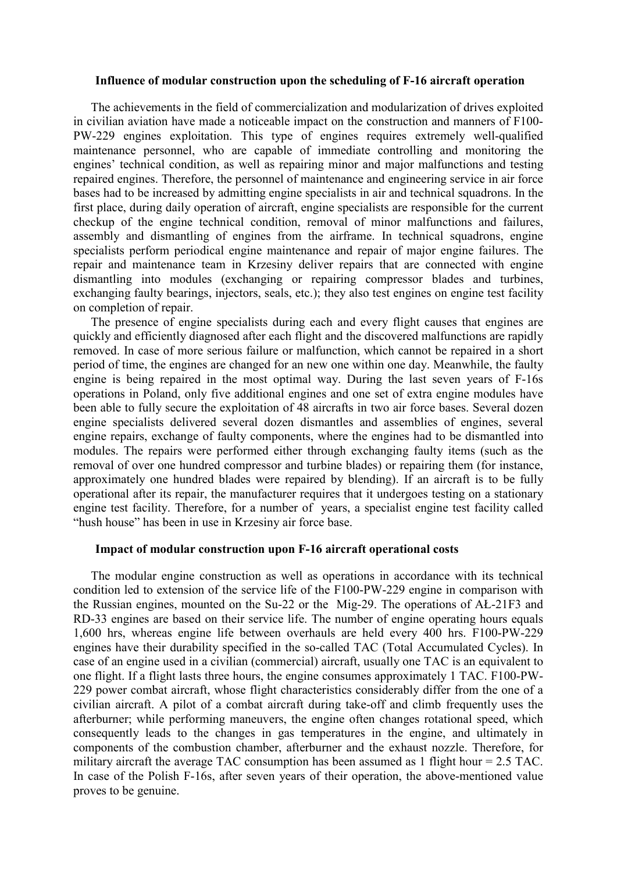#### **Influence of modular construction upon the scheduling of F-16 aircraft operation**

The achievements in the field of commercialization and modularization of drives exploited in civilian aviation have made a noticeable impact on the construction and manners of F100- PW-229 engines exploitation. This type of engines requires extremely well-qualified maintenance personnel, who are capable of immediate controlling and monitoring the engines' technical condition, as well as repairing minor and major malfunctions and testing repaired engines. Therefore, the personnel of maintenance and engineering service in air force bases had to be increased by admitting engine specialists in air and technical squadrons. In the first place, during daily operation of aircraft, engine specialists are responsible for the current checkup of the engine technical condition, removal of minor malfunctions and failures, assembly and dismantling of engines from the airframe. In technical squadrons, engine specialists perform periodical engine maintenance and repair of major engine failures. The repair and maintenance team in Krzesiny deliver repairs that are connected with engine dismantling into modules (exchanging or repairing compressor blades and turbines, exchanging faulty bearings, injectors, seals, etc.); they also test engines on engine test facility on completion of repair.

The presence of engine specialists during each and every flight causes that engines are quickly and efficiently diagnosed after each flight and the discovered malfunctions are rapidly removed. In case of more serious failure or malfunction, which cannot be repaired in a short period of time, the engines are changed for an new one within one day. Meanwhile, the faulty engine is being repaired in the most optimal way. During the last seven years of F-16s operations in Poland, only five additional engines and one set of extra engine modules have been able to fully secure the exploitation of 48 aircrafts in two air force bases. Several dozen engine specialists delivered several dozen dismantles and assemblies of engines, several engine repairs, exchange of faulty components, where the engines had to be dismantled into modules. The repairs were performed either through exchanging faulty items (such as the removal of over one hundred compressor and turbine blades) or repairing them (for instance, approximately one hundred blades were repaired by blending). If an aircraft is to be fully operational after its repair, the manufacturer requires that it undergoes testing on a stationary engine test facility. Therefore, for a number of years, a specialist engine test facility called "hush house" has been in use in Krzesiny air force base.

#### **Impact of modular construction upon F-16 aircraft operational costs**

The modular engine construction as well as operations in accordance with its technical condition led to extension of the service life of the F100-PW-229 engine in comparison with the Russian engines, mounted on the Su-22 or the Mig-29. The operations of AŁ-21F3 and RD-33 engines are based on their service life. The number of engine operating hours equals 1,600 hrs, whereas engine life between overhauls are held every 400 hrs. F100-PW-229 engines have their durability specified in the so-called TAC (Total Accumulated Cycles). In case of an engine used in a civilian (commercial) aircraft, usually one TAC is an equivalent to one flight. If a flight lasts three hours, the engine consumes approximately 1 TAC. F100-PW-229 power combat aircraft, whose flight characteristics considerably differ from the one of a civilian aircraft. A pilot of a combat aircraft during take-off and climb frequently uses the afterburner; while performing maneuvers, the engine often changes rotational speed, which consequently leads to the changes in gas temperatures in the engine, and ultimately in components of the combustion chamber, afterburner and the exhaust nozzle. Therefore, for military aircraft the average TAC consumption has been assumed as 1 flight hour = 2.5 TAC. In case of the Polish F-16s, after seven years of their operation, the above-mentioned value proves to be genuine.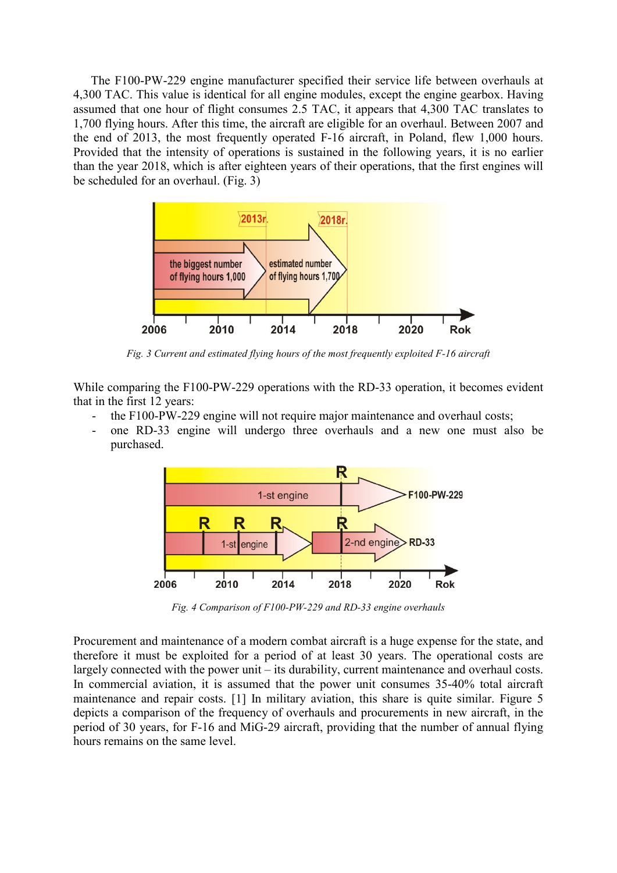The F100-PW-229 engine manufacturer specified their service life between overhauls at 4,300 TAC. This value is identical for all engine modules, except the engine gearbox. Having assumed that one hour of flight consumes 2.5 TAC, it appears that 4,300 TAC translates to 1,700 flying hours. After this time, the aircraft are eligible for an overhaul. Between 2007 and the end of 2013, the most frequently operated F-16 aircraft, in Poland, flew 1,000 hours. Provided that the intensity of operations is sustained in the following years, it is no earlier than the year 2018, which is after eighteen years of their operations, that the first engines will be scheduled for an overhaul. (Fig. 3)



*Fig. 3 Current and estimated flying hours of the most frequently exploited F-16 aircraft*

While comparing the F100-PW-229 operations with the RD-33 operation, it becomes evident that in the first 12 years:

- the F100-PW-229 engine will not require major maintenance and overhaul costs;
- one RD-33 engine will undergo three overhauls and a new one must also be purchased.



*Fig. 4 Comparison of F100-PW-229 and RD-33 engine overhauls*

Procurement and maintenance of a modern combat aircraft is a huge expense for the state, and therefore it must be exploited for a period of at least 30 years. The operational costs are largely connected with the power unit – its durability, current maintenance and overhaul costs. In commercial aviation, it is assumed that the power unit consumes 35-40% total aircraft maintenance and repair costs. [1] In military aviation, this share is quite similar. Figure 5 depicts a comparison of the frequency of overhauls and procurements in new aircraft, in the period of 30 years, for F-16 and MiG-29 aircraft, providing that the number of annual flying hours remains on the same level.